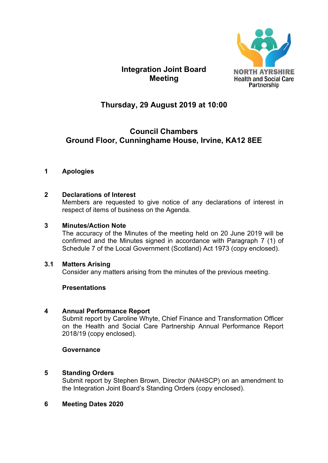

# **Integration Joint Board Meeting**

# **Thursday, 29 August 2019 at 10:00**

# **Council Chambers Ground Floor, Cunninghame House, Irvine, KA12 8EE**

# **1 Apologies**

# **2 Declarations of Interest**

Members are requested to give notice of any declarations of interest in respect of items of business on the Agenda.

# **3 Minutes/Action Note**

The accuracy of the Minutes of the meeting held on 20 June 2019 will be confirmed and the Minutes signed in accordance with Paragraph 7 (1) of Schedule 7 of the Local Government (Scotland) Act 1973 (copy enclosed).

# **3.1 Matters Arising**

Consider any matters arising from the minutes of the previous meeting.

# **Presentations**

# **4 Annual Performance Report**

Submit report by Caroline Whyte, Chief Finance and Transformation Officer on the Health and Social Care Partnership Annual Performance Report 2018/19 (copy enclosed).

#### **Governance**

# **5 Standing Orders**

Submit report by Stephen Brown, Director (NAHSCP) on an amendment to the Integration Joint Board's Standing Orders (copy enclosed).

# **6 Meeting Dates 2020**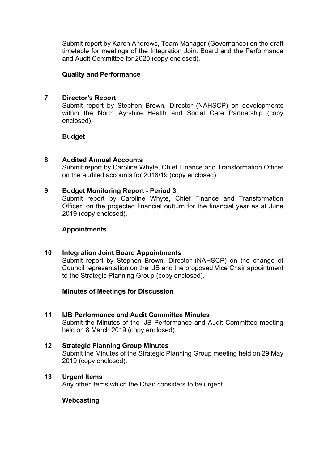Submit report by Karen Andrews, Team Manager (Governance) on the draft timetable for meetings of the Integration Joint Board and the Performance and Audit Committee for 2020 (copy enclosed).

#### **Quality and Performance**

#### **7 Director's Report**

Submit report by Stephen Brown, Director (NAHSCP) on developments within the North Ayrshire Health and Social Care Partnership (copy enclosed).

#### **Budget**

#### **8 Audited Annual Accounts**

Submit report by Caroline Whyte, Chief Finance and Transformation Officer on the audited accounts for 2018/19 (copy enclosed).

#### **9 Budget Monitoring Report - Period 3**

Submit report by Caroline Whyte, Chief Finance and Transformation Officer on the projected financial outturn for the financial year as at June 2019 (copy enclosed).

#### **Appointments**

#### **10 Integration Joint Board Appointments**

Submit report by Stephen Brown, Director (NAHSCP) on the change of Council representation on the IJB and the proposed Vice Chair appointment to the Strategic Planning Group (copy enclosed).

#### **Minutes of Meetings for Discussion**

- **11 IJB Performance and Audit Committee Minutes**  Submit the Minutes of the IJB Performance and Audit Committee meeting held on 8 March 2019 (copy enclosed).
- **12 Strategic Planning Group Minutes**  Submit the Minutes of the Strategic Planning Group meeting held on 29 May 2019 (copy enclosed).

#### **13 Urgent Items**

Any other items which the Chair considers to be urgent.

# **Webcasting**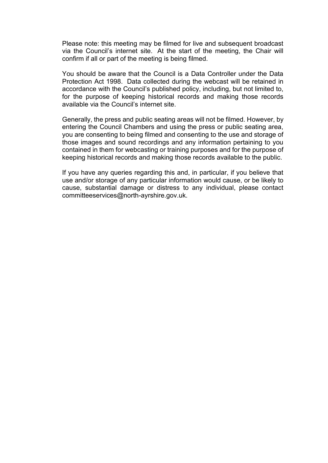Please note: this meeting may be filmed for live and subsequent broadcast via the Council's internet site. At the start of the meeting, the Chair will confirm if all or part of the meeting is being filmed.

You should be aware that the Council is a Data Controller under the Data Protection Act 1998. Data collected during the webcast will be retained in accordance with the Council's published policy, including, but not limited to, for the purpose of keeping historical records and making those records available via the Council's internet site.

Generally, the press and public seating areas will not be filmed. However, by entering the Council Chambers and using the press or public seating area, you are consenting to being filmed and consenting to the use and storage of those images and sound recordings and any information pertaining to you contained in them for webcasting or training purposes and for the purpose of keeping historical records and making those records available to the public.

If you have any queries regarding this and, in particular, if you believe that use and/or storage of any particular information would cause, or be likely to cause, substantial damage or distress to any individual, please contact committeeservices@north-ayrshire.gov.uk.